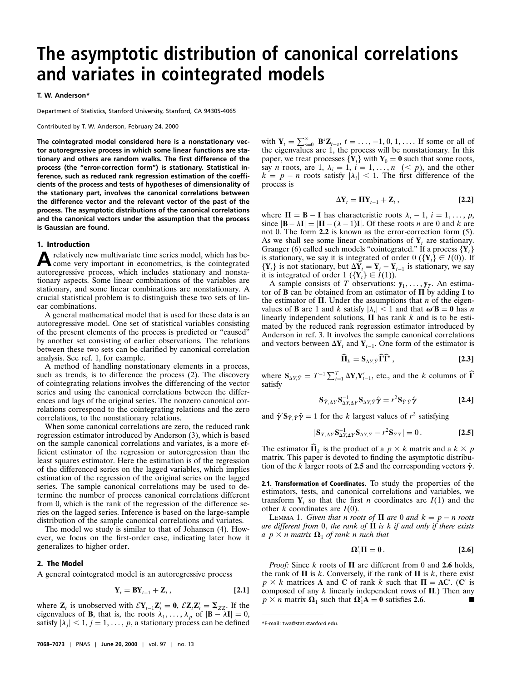# The asymptotic distribution of canonical correlations and variates in cointegrated models

#### **T. W. Anderson\***

Department of Statistics, Stanford University, Stanford, CA 94305-4065

#### Contributed by T. W. Anderson, February 24, 2000

**The cointegrated model considered here is a nonstationary vector autoregressive process in which some linear functions are stationary and others are random walks. The first difference of the process (the "error-correction form") is stationary. Statistical inference, such as reduced rank regression estimation of the coefficients of the process and tests of hypotheses of dimensionality of the stationary part, involves the canonical correlations between the difference vector and the relevant vector of the past of the process. The asymptotic distributions of the canonical correlations and the canonical vectors under the assumption that the process is Gaussian are found.**

#### 1. Introduction

A relatively new multivariate time series model, which has be-<br>come very important in econometrics, is the cointegrated autoregressive process, which includes stationary and nonstationary aspects. Some linear combinations of the variables are stationary, and some linear combinations are nonstationary. A crucial statistical problem is to distinguish these two sets of linear combinations.

A general mathematical model that is used for these data is an autoregressive model. One set of statistical variables consisting of the present elements of the process is predicted or "caused" by another set consisting of earlier observations. The relations between these two sets can be clarified by canonical correlation analysis. See ref. 1, for example.

A method of handling nonstationary elements in a process, such as trends, is to difference the process (2). The discovery of cointegrating relations involves the differencing of the vector series and using the canonical correlations between the differences and lags of the original series. The nonzero canonical correlations correspond to the cointegrating relations and the zero correlations, to the nonstationary relations.

When some canonical correlations are zero, the reduced rank regression estimator introduced by Anderson (3), which is based on the sample canonical correlations and variates, is a more efficient estimator of the regression or autoregression than the least squares estimator. Here the estimation is of the regression of the differenced series on the lagged variables, which implies estimation of the regression of the original series on the lagged series. The sample canonical correlations may be used to determine the number of process canonical correlations different from 0, which is the rank of the regression of the difference series on the lagged series. Inference is based on the large-sample distribution of the sample canonical correlations and variates.

The model we study is similar to that of Johansen (4). However, we focus on the first-order case, indicating later how it generalizes to higher order.

# 2. The Model

A general cointegrated model is an autoregressive process

$$
\mathbf{Y}_t = \mathbf{B} \mathbf{Y}_{t-1} + \mathbf{Z}_t, \qquad [2.1]
$$

where  $\mathbf{Z}_t$  is unobserved with  $\mathcal{E}\mathbf{Y}_{t-1}\mathbf{Z}_t' = \mathbf{0}$ ,  $\mathcal{E}\mathbf{Z}_t\mathbf{Z}_t' = \mathbf{\Sigma}_{ZZ}$ . If the eigenvalues of **B**, that is, the roots  $\lambda_1, \ldots, \lambda_p$  of  $|\mathbf{B} - \lambda \mathbf{I}| = 0$ , satisfy  $|\lambda_j|$  < 1, j = 1, ..., p, a stationary process can be defined

with  $Y_t = \sum_{s=0}^{\infty} B^s Z_{t-s}, t = \dots, -1, 0, 1, \dots$ . If some or all of the eigenvalues are 1, the process will be nonstationary. In this paper, we treat processes  ${Y_t}$  with  $Y_0 = 0$  such that some roots, say *n* roots, are 1,  $\lambda_i = 1, i = 1,...,n \leq p$ , and the other  $k = p - n$  roots satisfy  $|\lambda_i| < 1$ . The first difference of the process is

$$
\Delta Y_t = \Pi Y_{t-1} + Z_t, \qquad [2.2]
$$

where  $\Pi = B - I$  has characteristic roots  $\lambda_i - 1$ ,  $i = 1, \ldots, p$ , since  $|\mathbf{B} - \lambda \mathbf{I}| = |\mathbf{\Pi} - (\lambda - 1)\mathbf{I}|$ . Of these roots *n* are 0 and *k* are not 0. The form 2.2 is known as the error-correction form (5). As we shall see some linear combinations of  $Y_t$ , are stationary. Granger (6) called such models "cointegrated." If a process  ${Y<sub>t</sub>}$ is stationary, we say it is integrated of order  $0 \left( {\{Y_t\} \in I(0)} \right)$ . If  $\{Y_t\}$  is not stationary, but  $\Delta Y_t = Y_t - Y_{t-1}$  is stationary, we say it is integrated of order 1 ( $\{Y_t\} \in I(1)$ ).

A sample consists of T observations:  $y_1, \ldots, y_T$ . An estimator of  $\bf{B}$  can be obtained from an estimator of  $\bf{\Pi}$  by adding  $\bf{I}$  to the estimator of  $\Pi$ . Under the assumptions that *n* of the eigenvalues of **B** are 1 and k satisfy  $|\lambda_i| < 1$  and that  $\boldsymbol{\omega}'\mathbf{B} = \mathbf{0}$  has n linearly independent solutions,  $\Pi$  has rank k and is to be estimated by the reduced rank regression estimator introduced by Anderson in ref. 3. It involves the sample canonical correlations and vectors between  $\Delta Y_t$  and  $Y_{t-1}$ . One form of the estimator is

$$
\widehat{\mathbf{\Pi}}_k = \mathbf{S}_{\Delta Y, \bar{Y}} \widehat{\mathbf{\Gamma}} \widehat{\mathbf{\Gamma}}^{\prime}, \tag{2.3}
$$

where  $S_{\Delta Y, \bar{Y}} = T^{-1} \sum_{t=1}^{T} \Delta Y_t Y_{t-1}$ , etc., and the k columns of  $\widehat{\Gamma}$ satisfy

$$
\mathbf{S}_{\bar{Y},\Delta Y} \mathbf{S}_{\Delta Y,\Delta Y}^{-1} \mathbf{S}_{\Delta Y,\bar{Y}} \hat{\boldsymbol{\gamma}} = r^2 \mathbf{S}_{\bar{Y}} \bar{\boldsymbol{\gamma}} \hat{\boldsymbol{\gamma}}
$$
 [2.4]

and  $\hat{\gamma}$ 'S $_{\bar{Y}, \bar{Y}}\hat{\gamma} = 1$  for the k largest values of  $r^2$  satisfying

$$
|\mathbf{S}_{\bar{Y},\Delta Y}\mathbf{S}_{\Delta Y,\Delta Y}^{-1}\mathbf{S}_{\Delta Y,\bar{Y}} - r^2\mathbf{S}_{\bar{Y}\bar{Y}}| = 0.
$$
 [2.5]

The estimator  $\widehat{\Pi}_k$  is the product of a  $p \times k$  matrix and a  $k \times p$ matrix. This paper is devoted to finding the asymptotic distribution of the k larger roots of 2.5 and the corresponding vectors  $\hat{\gamma}$ .

2.1. Transformation of Coordinates. To study the properties of the estimators, tests, and canonical correlations and variables, we transform  $Y_t$  so that the first *n* coordinates are  $I(1)$  and the other k coordinates are  $I(0)$ .

LEMMA 1. Given that n roots of  $\Pi$  are 0 and  $k = p - n$  roots are different from 0, the rank of  $\Pi$  is k if and only if there exists a  $p \times n$  matrix  $\mathbf{\Omega}_1$  of rank n such that

$$
\Omega_1'\Pi=0.\t\t[2.6]
$$

*Proof:* Since k roots of  $\Pi$  are different from 0 and 2.6 holds, the rank of  $\Pi$  is k. Conversely, if the rank of  $\Pi$  is k, there exist  $p \times k$  matrices **A** and **C** of rank k such that  $\Pi = AC'$ . (C' is composed of any  $k$  linearly independent rows of  $\Pi$ .) Then any  $p \times n$  matrix  $\mathbf{\Omega}_1$  such that  $\mathbf{\Omega}'_1 \mathbf{A} = \mathbf{0}$  satisfies 2.6.

<sup>\*</sup>E-mail: twa@stat.stanford.edu.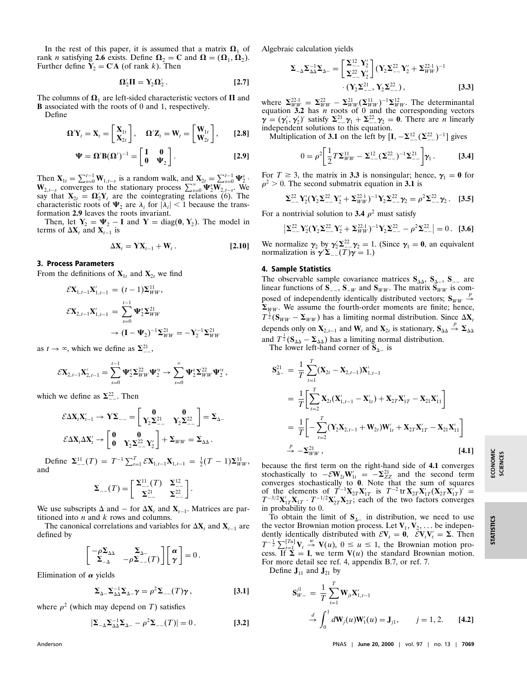In the rest of this paper, it is assumed that a matrix  $\Omega_1$  of rank *n* satisfying 2.6 exists. Define  $\Omega_2 = C$  and  $\Omega = (\Omega_1, \Omega_2)$ . Further define  $\tilde{\mathbf{Y}}_2 = \mathbf{C}'\mathbf{A}$  (of rank k). Then

$$
\Omega_2'\Pi=\Upsilon_2\Omega_2' \,. \tag{2.7}
$$

The columns of  $\Omega_1$  are left-sided characteristic vectors of  $\Pi$  and  $\bf{B}$  associated with the roots of 0 and 1, respectively. Define

$$
\mathbf{\Omega}'\mathbf{Y}_t = \mathbf{X}_t = \begin{bmatrix} \mathbf{X}_{1t} \\ \mathbf{X}_{2t} \end{bmatrix}, \quad \mathbf{\Omega}'\mathbf{Z}_t = \mathbf{W}_t = \begin{bmatrix} \mathbf{W}_{1t} \\ \mathbf{W}_{2t} \end{bmatrix}, \qquad [2.8]
$$

$$
\Psi = \Omega' B(\Omega')^{-1} = \begin{bmatrix} I & 0 \\ 0 & \Psi_2 \end{bmatrix}.
$$
 [2.9]

Then  $X_{1t} = \sum_{s=0}^{t-1} W_{1,t-s}$  is a random walk, and  $X_{2t} = \sum_{s=0}^{t-1} \Psi_2^s$ .  $\mathbf{W}_{2,t-s}$  converges to the stationary process  $\sum_{s=0}^{\infty} \Psi_2^s \overline{\mathbf{W}}_{2,t-s}$ . We say that  $X_{2t} = \Omega_2' Y_t$  are the cointegrating relations (6). The characteristic roots of  $\Psi_2$  are  $\lambda_i$  for  $|\lambda_i| < 1$  because the transformation 2.9 leaves the roots invariant.

Then, let  $Y_2 = \Psi_2 - I$  and  $Y = diag(0, Y_2)$ . The model in terms of  $\Delta X_t$  and  $X_{t-1}$  is

$$
\Delta \mathbf{X}_t = \mathbf{Y} \mathbf{X}_{t-1} + \mathbf{W}_t. \tag{2.10}
$$

# 3. Process Parameters

From the definitions of  $X_{1t}$  and  $X_{2t}$  we find

$$
\mathcal{E} \mathbf{X}_{1,t-1} \mathbf{X}_{1,t-1}' = (t-1) \mathbf{\Sigma}_{WW}^{11},
$$
\n
$$
\mathcal{E} \mathbf{X}_{2,t-1} \mathbf{X}_{1,t-1}' = \sum_{s=0}^{t-1} \mathbf{\Psi}_{2}^{s} \mathbf{\Sigma}_{WW}^{21}
$$
\n
$$
\rightarrow (\mathbf{I} - \mathbf{\Psi}_{2})^{-1} \mathbf{\Sigma}_{WW}^{21} = -\mathbf{Y}_{2}^{-1} \mathbf{\Sigma}_{WW}^{21}
$$

as  $t \to \infty$ , which we define as  $\Sigma_{-}^{21}$ ,

$$
\mathcal{E} \mathbf{X}_{2,t-1} \mathbf{X}_{2,t-1}' = \sum_{s=0}^{t-1} \mathbf{\Psi}_2^s \mathbf{\Sigma}_{WW}^{22} \mathbf{\Psi}_2'^s \to \sum_{s=0}^{\infty} \mathbf{\Psi}_2^s \mathbf{\Sigma}_{WW}^{22} \mathbf{\Psi}_2'^s \,,
$$

which we define as  $\Sigma^{22}$ . Then

$$
\mathcal{E}\Delta X_{i}X'_{i-1}\rightarrow Y\Sigma_{--}=\begin{bmatrix} 0 & 0 \\ Y_{2}\Sigma_{--}^{21} & Y_{2}\Sigma_{--}^{22} \end{bmatrix}=\Sigma_{\Delta-}
$$

$$
\mathcal{E}\Delta X_{i}\Delta X'_{i}\rightarrow \begin{bmatrix} 0 & 0 \\ 0 & Y_{2}\Sigma_{--}^{22}Y'_{2} \end{bmatrix}+ \Sigma_{WW}=\Sigma_{\Delta\Delta}.
$$

Define  $\Sigma_{--}^{11}(T) = T^{-1} \sum_{t=1}^{T} \mathcal{E} \mathbf{X}_{1,t-1} \mathbf{X}_{1,t-1} = \frac{1}{2}(T-1)\Sigma_{WW}^{11}$ and

$$
\Sigma_{--}(T) = \begin{bmatrix} \Sigma_{--}^{11}(T) & \Sigma_{--}^{12} \\ \Sigma_{--}^{21} & \Sigma_{--}^{22} \end{bmatrix}.
$$

We use subscripts  $\Delta$  and  $-$  for  $\Delta X_t$  and  $X_{t-1}$ . Matrices are partitioned into  $n$  and  $k$  rows and columns.

The canonical correlations and variables for  $\Delta X_t$  and  $X_{t-1}$  are defined by

$$
\begin{bmatrix} -\rho \Sigma_{\Delta\Delta} & \Sigma_{\Delta-}\\ \Sigma_{-\Delta} & -\rho \Sigma_{--}(T) \end{bmatrix} \begin{bmatrix} \alpha \\ \gamma \end{bmatrix} = 0.
$$

Elimination of  $\alpha$  yields

$$
\Sigma_{\Delta-} \Sigma_{\Delta\Delta}^{-1} \Sigma_{\Delta-} \gamma = \rho^2 \Sigma_{--}(T) \gamma , \qquad [3.1]
$$

where  $\rho^2$  (which may depend on T) satisfies

$$
\Sigma_{-\Delta} \Sigma_{\Delta\Delta}^{-1} \Sigma_{\Delta -} - \rho^2 \Sigma_{--}(T) | = 0. \tag{3.2}
$$

Algebraic calculation yields

$$
\Sigma_{-\Delta} \Sigma_{\Delta\Delta}^{-1} \Sigma_{\Delta-} = \begin{bmatrix} \Sigma_{--}^{12} Y_2' \\ \Sigma_{--}^{22} Y_2' \end{bmatrix} (\mathbf{Y}_2 \Sigma_{--}^{22} \mathbf{Y}_2' + \Sigma_{WW}^{221})^{-1} \cdot (\mathbf{Y}_2 \Sigma_{--}^{21}, \mathbf{Y}_2 \Sigma_{--}^{22}),
$$
\n[3.3]

where  $\Sigma_{WW}^{22.1} = \Sigma_{WW}^{22} - \Sigma_{WW}^{21} (\Sigma_{WW}^{11})^{-1} \Sigma_{WW}^{12}$ . The determinantal equation 3.2 has *n* roots of 0 and the corresponding vectors  $\gamma = (\gamma'_1, \gamma'_2)'$  satisfy  $\Sigma_{--}^{21} \gamma_1 + \Sigma_{--}^{22} \gamma_2 = 0$ . There are *n* linearly independent solutions to this equation.

Multiplication of 3.1 on the left by  $[I, -\Sigma_{--}^{12}(\Sigma_{--}^{22})^{-1}]$  gives

$$
0 = \rho^2 \left[ \frac{1}{2} T \Sigma_{WW}^{11} - \Sigma_{--}^{12} (\Sigma_{--}^{22})^{-1} \Sigma_{--}^{21} \right] \gamma_1.
$$
 [3.4]

For  $T \ge 3$ , the matrix in 3.3 is nonsingular; hence,  $\gamma_1 = 0$  for  $\rho^2 > 0$ . The second submatrix equation in 3.1 is

$$
\Sigma_{--}^{22} Y_2' (Y_2 \Sigma_{--}^{22} Y_2' + \Sigma_{WW}^{22.1})^{-1} Y_2 \Sigma_{--}^{22} \gamma_2 = \rho^2 \Sigma_{--}^{22} \gamma_2. \quad [3.5]
$$

For a nontrivial solution to 3.4  $\rho^2$  must satisfy

$$
\left|\Sigma_{--}^{22} \mathbf{Y}_2' (\mathbf{Y}_2 \Sigma_{--}^{22} \mathbf{Y}_2' + \Sigma_{WW}^{221})^{-1} \mathbf{Y}_2 \Sigma_{--}^{22} - \rho^2 \Sigma_{--}^{22}\right| = 0. \quad [3.6]
$$

We normalize  $\gamma_2$  by  $\gamma_2' \Sigma_{--}^{22} \gamma_2 = 1$ . (Since  $\gamma_1 = 0$ , an equivalent normalization is  $\gamma' \Sigma_{--}(T) \gamma = 1$ .)

# 4. Sample Statistics

The observable sample covariance matrices  $S_{\Delta\Delta}$ ,  $S_{\Delta-}$ ,  $S_{\Delta-}$  are linear functions of  $S_{--}$ ,  $S_{-W}$  and  $S_{WW}$ . The matrix  $S_{WW}$  is composed of independently identically distributed vectors;  $S_{WW} \stackrel{p}{\rightarrow}$  $\Sigma_{WW}$ . We assume the fourth-order moments are finite; hence,  $T^{\frac{1}{2}}(\mathbf{S}_{WW}-\mathbf{\Sigma}_{WW})$  has a limiting normal distribution. Since  $\Delta \mathbf{X}_{t}$ depends only on  $X_{2,t-1}$  and  $W_t$  and  $X_{2t}$  is stationary,  $S_{\Delta\Delta} \stackrel{\mu}{\rightarrow} \Sigma_{\Delta\Delta}$ and  $T^{\frac{1}{2}}(\mathbf{S}_{\Delta\Delta}-\mathbf{\Sigma}_{\Delta\Delta})$  has a limiting normal distribution.

The lower left-hand corner of  $S_{\Delta-}$  is

$$
\mathbf{S}_{\Delta-}^{21} = \frac{1}{T} \sum_{t=1}^{T} (\mathbf{X}_{2t} - \mathbf{X}_{2,t-1}) \mathbf{X}_{1,t-1}'
$$
\n
$$
= \frac{1}{T} \Biggl[ \sum_{t=2}^{T} \mathbf{X}_{2t} (\mathbf{X}_{1,t-1}' - \mathbf{X}_{1t}') + \mathbf{X}_{2T} \mathbf{X}_{1T}' - \mathbf{X}_{21} \mathbf{X}_{11}' \Biggr]
$$
\n
$$
= \frac{1}{T} \Biggl[ -\sum_{t=2}^{T} (\mathbf{Y}_{2} \mathbf{X}_{2,t-1} + \mathbf{W}_{2t}) \mathbf{W}_{1t}' + \mathbf{X}_{2T} \mathbf{X}_{1T}' - \mathbf{X}_{21} \mathbf{X}_{11}' \Biggr]
$$
\n
$$
\stackrel{P}{\rightarrow} -\Sigma_{WW}^{21}, \tag{4.1}
$$

because the first term on the right-hand side of 4.1 converges stochastically to  $-\mathcal{E}W_{2t}W'_{1t} = -\Sigma_{ZZ}^{21}$  and the second term converges stochastically to 0. Note that the sum of squares of the elements of  $T^{-1}\mathbf{X}_{2T}\mathbf{X}_{1T}$  is  $T^{-2}$  tr  $\mathbf{X}_{2T}\mathbf{X}_{1T}(\mathbf{X}_{2T}\mathbf{X}_{1T}^{\'}')$  =  $T^{-3/2}$ **X**<sub>1T</sub>**X**<sub>1T</sub> ·  $T^{-1/2}$ **X**<sub>2T</sub>**X**<sub>2T</sub><sup>2</sup>; each of the two factors converges in probability to 0.

To obtain the limit of  $S_{\Delta-}$  in distribution, we need to use the vector Brownian motion process. Let  $V_1, V_2, \ldots$  be independently identically distributed with  $\mathcal{E}V_t = 0$ ,  $\tilde{\mathcal{E}}V_tV_t' = \Sigma$ . Then  $T^{-\frac{1}{2}} \sum_{t=1}^{T^{[T_u]}} V_t \stackrel{w}{\rightarrow} V(u)$ ,  $0 \le u \le 1$ , the Brownian motion process. If  $\Sigma = I$ , we term  $V(u)$  the standard Brownian motion. For more detail see ref. 4, appendix B.7, or ref. 7. Define  $J_{11}$  and  $J_{21}$  by

$$
\mathbf{S}_{W-}^{j1} = \frac{1}{T} \sum_{t=1}^{T} \mathbf{W}_{jt} \mathbf{X}_{1,t-1}'
$$
  
\n
$$
\xrightarrow{d} \int_{0}^{1} d\mathbf{W}_{j}(u) \mathbf{W}_{1}'(u) = \mathbf{J}_{j1}, \qquad j = 1, 2.
$$
 [4.2]

**STATISTICS** 

Anderson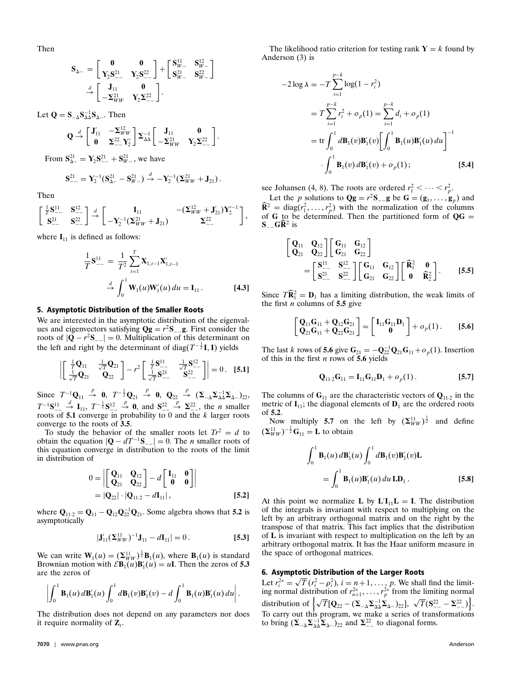Then

$$
\mathbf{S}_{\Delta-} = \begin{bmatrix} \mathbf{0} & \mathbf{0} \\ \mathbf{Y}_2 \mathbf{S}_{--}^{21} & \mathbf{Y}_2 \mathbf{S}_{--}^{22} \end{bmatrix} + \begin{bmatrix} \mathbf{S}_{W-}^{11} & \mathbf{S}_{W-}^{12} \\ \mathbf{S}_{W-}^{21} & \mathbf{S}_{W-}^{22} \end{bmatrix}
$$

$$
\xrightarrow{d} \begin{bmatrix} \mathbf{J}_{11} & \mathbf{0} \\ -\boldsymbol{\Sigma}_{WW}^{21} & \mathbf{Y}_2 \boldsymbol{\Sigma}_{--}^{22} \end{bmatrix}.
$$

Let  $Q = S_{\Delta} S_{\Delta}^{-1} S_{\Delta}$ . Then

$$
Q\stackrel{d}{\rightarrow}\begin{bmatrix}J_{11}'&-\Sigma_{\mu\nu}^{12} \\ 0 & \Sigma_{--}^{22}Y_2'\end{bmatrix}\Sigma_{\Delta\Delta}^{-1}\begin{bmatrix}J_{11}&0 \\ -\Sigma_{\mu\nu\mu}^{21}& \Upsilon_2\Sigma_{--}^{22}\end{bmatrix}.
$$

From  $S_{\Delta-}^{21} = Y_2 S_{--}^{21} + S_{W-}^{21}$ , we have

$$
\mathbf{S}_{--}^{21} = \mathbf{Y}_2^{-1} (\mathbf{S}_{\Delta -}^{21} - \mathbf{S}_{W-}^{21}) \stackrel{d}{\rightarrow} -\mathbf{Y}_2^{-1} (\mathbf{\Sigma}_{WW}^{21} + \mathbf{J}_{21}).
$$

Then

$$
\left[\begin{array}{cc} \frac{1}{T}{\bf S}_{--}^{11} & {\bf S}_{--}^{12} \\ {\bf S}_{--}^{21} & {\bf S}_{--}^{22} \end{array}\right]\overset{d}{\rightarrow} \left[\begin{array}{cc} {\bf I}_{11} & -({\bf \Sigma}_{\it WW}^{12}+{\bf J}_{21}'){\bf Y}_2'^{-1} \\ -{\bf Y}_2^{-1}({\bf \Sigma}_{\it WW}^{21}+{\bf J}_{21}) & {\bf \Sigma}_{--}^{22} \end{array}\right],
$$

where  $I_{11}$  is defined as follows:

$$
\frac{1}{T} \mathbf{S}_{--}^{11} = \frac{1}{T^2} \sum_{t=1}^{T} \mathbf{X}_{1,t-1} \mathbf{X}_{1,t-1}'
$$
\n
$$
\xrightarrow{d} \int_{0}^{1} \mathbf{W}_1(u) \mathbf{W}_1'(u) du = \mathbf{I}_{11}.
$$
\n[4.3]

#### 5. Asymptotic Distribution of the Smaller Roots

We are interested in the asymptotic distribution of the eigenvalues and eigenvectors satisfying  $Qg = r^2S_{-}g$ . First consider the roots of  $|Q - r^2S_{-} | = 0$ . Multiplication of this determinant on the left and right by the determinant of diag( $T^{-\frac{1}{2}}$ **I**, **I**) yields

$$
\left| \begin{bmatrix} \frac{1}{T} \mathbf{Q}_{11} & \frac{1}{\sqrt{T}} \mathbf{Q}_{21} \\ \frac{1}{\sqrt{T}} \mathbf{Q}_{21} & \mathbf{Q}_{22} \end{bmatrix} - r^2 \begin{bmatrix} \frac{1}{T} \mathbf{S}^{11} & \frac{1}{\sqrt{T}} \mathbf{S}^{12} \\ \frac{1}{\sqrt{T}} \mathbf{S}^{21} & \mathbf{S}^{22} - \end{bmatrix} \right| = 0. \quad \textbf{[5.1]}
$$

Since  $T^{-1}\mathbf{Q}_{11} \stackrel{p}{\to} \mathbf{0}$ ,  $T^{-\frac{1}{2}}\mathbf{Q}_{21} \stackrel{p}{\to} \mathbf{0}$ ,  $\mathbf{Q}_{22} \stackrel{p}{\to} (\mathbf{\Sigma}_{-\Delta} \mathbf{\Sigma}_{\Delta\Delta}^{-1} \mathbf{\Sigma}_{\Delta-})_{22}$ ,<br>  $T^{-1}\mathbf{S}_{-1}^{11} \stackrel{d}{\to} \mathbf{I}_{11}$ ,  $T^{-\frac{1}{2}}\mathbf{S}_{-}^{12} \stackrel{p}{\to} \mathbf{0}$ , and  $\mathbf{$ roots of  $5.1$  converge in probability to 0 and the  $k$  larger roots converge to the roots of 3.5.

To study the behavior of the smaller roots let  $Tr^2 = d$  to obtain the equation  $|{\bf Q} - dT^{-1} {\bf S}_{- \alpha}| = 0$ . The *n* smaller roots of this equation converge in distribution to the roots of the limit in distribution of

$$
0 = \left| \begin{bmatrix} \mathbf{Q}_{11} & \mathbf{Q}_{12} \\ \mathbf{Q}_{21} & \mathbf{Q}_{22} \end{bmatrix} - d \begin{bmatrix} \mathbf{I}_{11} & \mathbf{0} \\ \mathbf{0} & \mathbf{0} \end{bmatrix} \right|
$$
  
=  $|\mathbf{Q}_{22}| \cdot |\mathbf{Q}_{112} - d\mathbf{I}_{11}|,$  [5.2]

where  $Q_{11.2} = Q_{11} - Q_{12}Q_{22}^{-1}Q_{21}$ . Some algebra shows that 5.2 is asymptotically

$$
|\mathbf{J}_{11}'(\Sigma_{WW}^{11})^{-1}\mathbf{J}_{11} - d\mathbf{I}_{11}| = 0.
$$
 [5.3]

We can write  $\mathbf{W}_1(u) = (\Sigma_{WW}^{11})^{\frac{1}{2}} \mathbf{B}_1(u)$ , where  $\mathbf{B}_1(u)$  is standard<br>Brownian motion with  $\mathcal{E} \mathbf{B}_1(u) \mathbf{B}_1'(u) = uI$ . Then the zeros of 5.3 are the zeros of

$$
\left|\int_0^1 \mathbf{B}_1(u) \, d\mathbf{B}_1'(u) \int_0^1 d\mathbf{B}_1(v) \mathbf{B}_1'(v) - d \int_0^1 \mathbf{B}_1(u) \mathbf{B}_1'(u) \, du \right|.
$$

The distribution does not depend on any parameters nor does it require normality of  $Z_t$ .

The likelihood ratio criterion for testing rank  $Y = k$  found by Anderson  $(3)$  is

$$
-2 \log \lambda = -T \sum_{i=1}^{p-k} \log(1 - r_i^2)
$$
  
=  $T \sum_{i=1}^{p-k} r_i^2 + o_p(1) = \sum_{i=1}^{p-k} d_i + o_p(1)$   
=  $\text{tr} \int_0^1 d\mathbf{B}_1(v) \mathbf{B}'_1(v) \left[ \int_0^1 \mathbf{B}_1(u) \mathbf{B}'_1(u) du \right]^{-1}$   
 $\cdot \int_0^1 \mathbf{B}_1(v) d\mathbf{B}'_1(v) + o_p(1);$  [5.4]

see Johansen (4, 8). The roots are ordered  $r_1^2 < \cdots < r_p^2$ .<br>Let the *p* solutions to **Qg** =  $r^2$ **S**<sub>--</sub>**g** be **G** = (**g**<sub>1</sub>, ..., **g**<sub>*p*</sub>) and  $\widehat{\mathbf{R}}^2$  = diag( $r_1^2, \ldots, r_p^2$ ) with the normalization of the columns of G to be determined. Then the partitioned form of  $QG =$  $S_{-}$  $G\widehat{R}^2$  is

$$
\begin{bmatrix} Q_{11} & Q_{12} \\ Q_{21} & Q_{22} \end{bmatrix} \begin{bmatrix} G_{11} & G_{12} \\ G_{21} & G_{22} \end{bmatrix} \\ = \begin{bmatrix} S_{-1}^{11} & S_{-2}^{12} \\ S_{-1}^{21} & S_{-2}^{22} \end{bmatrix} \begin{bmatrix} G_{11} & G_{12} \\ G_{21} & G_{22} \end{bmatrix} \begin{bmatrix} \widehat{R}_{1}^{2} & 0 \\ 0 & \widehat{R}_{2}^{2} \end{bmatrix} . \qquad \text{[5.5]}
$$

Since  $T\hat{\mathbf{R}}_1^2 = \mathbf{D}_1$  has a limiting distribution, the weak limits of the first  $n$  columns of 5.5 give

$$
\begin{bmatrix} \mathbf{Q}_{11}\mathbf{G}_{11} + \mathbf{Q}_{12}\mathbf{G}_{21} \\ \mathbf{Q}_{21}\mathbf{G}_{11} + \mathbf{Q}_{22}\mathbf{G}_{21} \end{bmatrix} = \begin{bmatrix} \mathbf{I}_{11}\mathbf{G}_{11}\mathbf{D}_{1} \\ \mathbf{0} \end{bmatrix} + o_{p}(1).
$$
 [5.6]

The last k rows of 5.6 give  $G_{21} = -Q_{22}^{-1}Q_{21}G_{11} + o_p(1)$ . Insertion of this in the first  $n$  rows of 5.6 yields

$$
\mathbf{Q}_{11\cdot 2}\mathbf{G}_{11} = \mathbf{I}_{11}\mathbf{G}_{11}\mathbf{D}_1 + o_p(1). \tag{5.7}
$$

The columns of  $G_{11}$  are the characteristic vectors of  $Q_{11\cdot 2}$  in the metric of  $I_{11}$ ; the diagonal elements of  $D_1$  are the ordered roots of 5.2.

Now multiply 5.7 on the left by  $(\Sigma_{WW}^{11})^{\frac{1}{2}}$  and define  $(\Sigma_{WW}^{11})^{-\frac{1}{2}}\mathbf{G}_{11} = \mathbf{L}$  to obtain

$$
\int_0^1 \mathbf{B}_1(u) d\mathbf{B}'_1(u) \int_0^1 d\mathbf{B}_1(v) \mathbf{B}'_1(v) \mathbf{L}
$$
  
= 
$$
\int_0^1 \mathbf{B}_1(u) \mathbf{B}'_1(u) du \mathbf{L} \mathbf{D}_1.
$$
 [5.8]

At this point we normalize **L** by  $L'I_{11}L = I$ . The distribution of the integrals is invariant with respect to multiplying on the left by an arbitrary orthogonal matrix and on the right by the transpose of that matrix. This fact implies that the distribution of L is invariant with respect to multiplication on the left by an arbitrary orthogonal matrix. It has the Haar uniform measure in the space of orthogonal matrices.

# 6. Asymptotic Distribution of the Larger Roots

Let  $r_i^{2*} = \sqrt{T} (r_i^2 - \rho_i^2)$ ,  $i = n+1, ..., p$ . We shall find the limit-<br>ing normal distribution of  $r_{n+1}^{2*}, ..., r_p^{2*}$  from the limiting normal<br>distribution of  $\left\{\sqrt{T}[\mathbf{Q}_{22} - (\mathbf{\Sigma}_{-\Delta} \mathbf{\Sigma}_{\Delta}^{-1} \mathbf{\Sigma}_{\Delta-})_{22}], \sqrt{T}(\mathbf{S}_{--}$ To carry out this program, we make a series of transformations to bring  $(\Sigma_{-\Delta} \Sigma_{\Delta \Delta}^{-1} \Sigma_{\Delta-})_{22}$  and  $\Sigma_{--}^{22}$  to diagonal forms.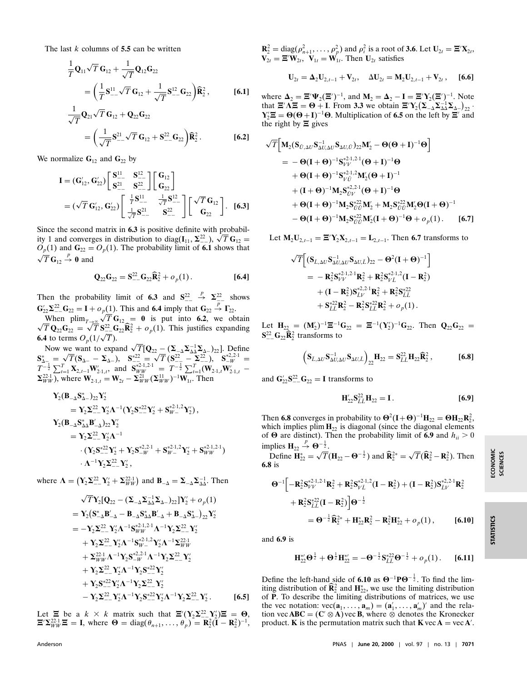The last  $k$  columns of 5.5 can be written

$$
\frac{1}{T}\mathbf{Q}_{11}\sqrt{T}\,\mathbf{G}_{12} + \frac{1}{\sqrt{T}}\mathbf{Q}_{12}\mathbf{G}_{22} \n= \left(\frac{1}{T}\mathbf{S}_{--}^{11}\sqrt{T}\,\mathbf{G}_{12} + \frac{1}{\sqrt{T}}\mathbf{S}_{--}^{12}\mathbf{G}_{22}\right)\widehat{\mathbf{R}}_{2}^{2},
$$
\n[6.1]

$$
\frac{1}{\sqrt{T}}\mathbf{Q}_{21}\sqrt{T}\,\mathbf{G}_{12} + \mathbf{Q}_{22}\mathbf{G}_{22} \n= \left(\frac{1}{\sqrt{T}}\mathbf{S}_{--}^{21}\sqrt{T}\,\mathbf{G}_{12} + \mathbf{S}_{--}^{22}\mathbf{G}_{22}\right)\hat{\mathbf{R}}_{2}^{2}.
$$
\n[6.2]

We normalize  $G_{12}$  and  $G_{22}$  by

$$
\mathbf{I} = (\mathbf{G}'_{12}, \mathbf{G}'_{22}) \begin{bmatrix} \mathbf{S}^{11}_{--} & \mathbf{S}^{12}_{--} \\ \mathbf{S}^{21}_{--} & \mathbf{S}^{22}_{--} \end{bmatrix} \begin{bmatrix} \mathbf{G}_{12} \\ \mathbf{G}_{22} \end{bmatrix}
$$
  
=  $(\sqrt{T} \mathbf{G}'_{12}, \mathbf{G}'_{22}) \begin{bmatrix} \frac{1}{T} \mathbf{S}^{11}_{--} & \frac{1}{\sqrt{T}} \mathbf{S}^{12}_{--} \\ \frac{1}{\sqrt{T}} \mathbf{S}^{21}_{--} & \mathbf{S}^{22}_{--} \end{bmatrix} \begin{bmatrix} \sqrt{T} \mathbf{G}_{12} \\ \mathbf{G}_{22} \end{bmatrix}.$  [6.3]

Since the second matrix in 6.3 is positive definite with probability 1 and converges in distribution to diag( $I_{11}$ ,  $\Sigma_{-}^{22}$ ),  $\sqrt{T} G_{12} =$  $O_p(1)$  and  $G_{22} = O_p(1)$ . The probability limit of 6.1 shows that  $\sqrt{T} G_{12} \stackrel{p}{\rightarrow} 0$  and

$$
\mathbf{Q}_{22}\mathbf{G}_{22} = \mathbf{S}_{--}^{22}\mathbf{G}_{22}\widehat{\mathbf{R}}_2^2 + o_p(1). \qquad [6.4]
$$

Then the probability limit of 6.3 and  $S_{--}^{22} \stackrel{p}{\rightarrow} \Sigma_{\overline{n}}^{22}$  shows  $G_{22}'\Sigma_{--}^{22}G_{22} = I + o_p(1)$ . This and 6.4 imply that  $G_{22} \stackrel{p}{\rightarrow} \Gamma_{22}$ .

When  $\lim_{T \to \infty} \sqrt{T} G_{12} = 0$  is put into 6.2, we obtain  $\sqrt{T} Q_{22} G_{22} = \sqrt{T} S_{22}^{22} \widehat{R}_2^2 + o_p(1)$ . This justifies expanding **6.4** to terms  $O_p(1/\sqrt{T})$ .

Now we want to expand  $\sqrt{T}[\mathbf{Q}_{22} - (\mathbf{\Sigma}_{-\Delta}\mathbf{\Sigma}_{\Delta\Delta}^{-1}\mathbf{\Sigma}_{\Delta-})_{22}]$ . Define  $S_{\Delta-}^* = \sqrt{T} (S_{\Delta-} - \Sigma_{\Delta-}), \quad S_{-2}^{*22} = \sqrt{T} (S_{-}^2 - \Sigma_{-}^2), \quad S_{-W}^{*2,21} = T^{-\frac{1}{2}} \sum_{l=1}^T \mathbf{X}_{2,l-1} \mathbf{W}_{2\cdot1,l}^{\prime}, \quad \text{and} \quad S_{WW}^{*2,1,21} = T^{-\frac{1}{2}} \sum_{l=1}^T (\mathbf{W}_{2\cdot1,l} \mathbf{W}_{2\cdot1,l}^{\prime}) - \mathbf{X}_{WW}^{2\cdot1}$ 

$$
\begin{aligned}\n\mathbf{Y}_2(\mathbf{B}_{-\Delta}\mathbf{S}_{\Delta-}^*\ )_{22}\mathbf{Y}_2' &= \mathbf{Y}_2\mathbf{\Sigma}_{-\Delta}^{22}\mathbf{Y}_2'\mathbf{\Lambda}^{-1}(\mathbf{Y}_2\mathbf{S}_{-\Delta}^{*22}\mathbf{Y}_2'+\mathbf{S}_{W-}^{*2.1,2}\mathbf{Y}_2'),\\ \n\mathbf{Y}_2(\mathbf{B}_{-\Delta}\mathbf{S}_{\Delta\Delta}^*\mathbf{B}_{-\Delta}')_{22}\mathbf{Y}_2' &= \mathbf{Y}_2\mathbf{\Sigma}_{-\Delta}^{22}\mathbf{Y}_2'\mathbf{\Lambda}^{-1} \\ &\qquad\qquad \cdot (\mathbf{Y}_2\mathbf{S}_{-}^{*22}\mathbf{Y}_2'+\mathbf{Y}_2\mathbf{S}_{-W}^{*2.1,2}+\mathbf{S}_{W-}^{*2.1,2}\mathbf{Y}_2'+\mathbf{S}_{WW}^{*2.1,2.1})\\ \n\cdot \mathbf{\Lambda}^{-1}\mathbf{Y}_2\mathbf{\Sigma}_{-\Delta}^{22}\mathbf{Y}_2',\n\end{aligned}
$$

where  $\mathbf{\Lambda} = (\mathbf{Y}_2 \mathbf{\Sigma}_{--}^{22} \mathbf{Y}_2' + \mathbf{\Sigma}_{WW}^{221})$  and  $\mathbf{B}_{-\Delta} = \mathbf{\Sigma}_{-\Delta} \mathbf{\Sigma}_{\Delta \Delta}^{-1}$ . Then

$$
\sqrt{T} \mathbf{Y}_{2} [\mathbf{Q}_{22} - (\mathbf{\Sigma}_{-\Delta} \mathbf{\Sigma}_{\Delta\Delta}^{-1} \mathbf{\Sigma}_{\Delta-})_{22}] \mathbf{Y}_{2}^{\prime} + o_{p}(1)
$$
\n
$$
= \mathbf{Y}_{2} (\mathbf{S}_{-\Delta}^* \mathbf{B}_{-\Delta}^{\prime} - \mathbf{B}_{-\Delta} \mathbf{S}_{\Delta\Delta}^* \mathbf{B}_{-\Delta}^{\prime} + \mathbf{B}_{-\Delta} \mathbf{S}_{\Delta-}^* )_{22} \mathbf{Y}_{2}^{\prime}
$$
\n
$$
= -\mathbf{Y}_{2} \mathbf{\Sigma}_{-\Delta}^{22} \mathbf{Y}_{2}^{\prime} \mathbf{\Lambda}^{-1} \mathbf{S}_{WW}^{*2} \mathbf{Y}_{\Delta}^{-1} \mathbf{Y}_{2} \mathbf{\Sigma}_{-\Delta}^{22} \mathbf{Y}_{2}^{\prime}
$$
\n
$$
+ \mathbf{Y}_{2} \mathbf{\Sigma}_{-\Delta}^{22} \mathbf{Y}_{2}^{\prime} \mathbf{\Lambda}^{-1} \mathbf{S}_{W}^{*2} \mathbf{Y}_{2}^{\prime} \mathbf{\Lambda}^{-1} \mathbf{\Sigma}_{2WW}^{221}
$$
\n
$$
+ \mathbf{\Sigma}_{WW}^{221} \mathbf{\Lambda}^{-1} \mathbf{Y}_{2} \mathbf{S}_{-W}^{*221} \mathbf{\Lambda}^{-1} \mathbf{Y}_{2} \mathbf{\Sigma}_{-\Delta}^{221} \mathbf{Y}_{2}^{\prime}
$$
\n
$$
+ \mathbf{Y}_{2} \mathbf{\Sigma}_{-\Delta}^{22} \mathbf{Y}_{2}^{\prime} \mathbf{\Lambda}^{-1} \mathbf{Y}_{2} \mathbf{S}_{-\Delta}^{*22} \mathbf{Y}_{2}^{\prime}
$$
\n
$$
+ \mathbf{Y}_{2} \mathbf{S}_{-2}^{*22} \mathbf{Y}_{2}^{\prime} \mathbf{\Lambda}^{-1} \mathbf{Y}_{2} \mathbf{\Sigma}_{-\Delta}^{222} \mathbf{Y}_{2}^{\prime}
$$
\n
$$
- \mathbf{Y}_{2} \mathbf{\Sigma}_{-\Delta}^{22} \mathbf{Y}_{2}^{\prime} \mathbf{\Lambda}^{-1} \mathbf{Y}_{2} \mathbf{S}_{-\Delta}^{*22} \mathbf{Y}_{2}^{\
$$

Let  $\Xi$  be a  $k \times k$  matrix such that  $\Xi'(\Upsilon_2 \Sigma_{-\infty}^{22} \Upsilon_2') \Xi = \Theta$ ,  $\mathbf{\Xi}'\mathbf{\Sigma}_{WW}^{22.1}\mathbf{\Xi} = \mathbf{I}$ , where  $\mathbf{\Theta} = \text{diag}(\theta_{n+1},...,\theta_p) = \mathbf{R}_2^2(\mathbf{\bar{I}} - \mathbf{R}_2^2)^{-1}$ ,  $\mathbf{R}_2^2 = \text{diag}(\rho_{n+1}^2, \dots, \rho_p^2)$  and  $\rho_i^2$  is a root of 3.6. Let  $\mathbf{U}_{2t} = \Xi' \mathbf{X}_{2t}$ ,  $\mathbf{V}_{2t} = \mathbf{\Xi}' \mathbf{W}_{2t}$ ,  $\mathbf{V}_{1t} = \mathbf{W}_{1t}$ . Then  $\mathbf{U}_{2t}$  satisfies

$$
\mathbf{U}_{2t} = \mathbf{\Delta}_2 \mathbf{U}_{2,t-1} + \mathbf{V}_{2t}, \quad \Delta \mathbf{U}_{2t} = \mathbf{M}_2 \mathbf{U}_{2,t-1} + \mathbf{V}_{2t}, \quad [6.6]
$$

where  $\Delta_2 = \mathbf{E}' \mathbf{\Psi}_2(\mathbf{E}')^{-1}$ , and  $\mathbf{M}_2 = \Delta_2 - \mathbf{I} = \mathbf{E}' \mathbf{Y}_2(\mathbf{E}')^{-1}$ . Note that  $\Xi' \Lambda \Xi = \Theta + 1$ . From 3.3 we obtain  $\Xi' Y_2 (\Sigma_{\Delta} \Sigma_{\Delta}^{-1} \Sigma_{\Delta}^{-1})_{22}$ .  $\mathbf{Y}_2' \mathbf{\Xi} = \mathbf{\Theta}(\mathbf{\Theta} + \mathbf{I})^{-1} \mathbf{\Theta}$ . Multiplication of 6.5 on the left by  $\mathbf{\Xi}'$  and the right by  $\Xi$  gives

$$
\sqrt{T} \Big[ \mathbf{M}_{2} (\mathbf{S}_{\bar{U},\Delta U} \mathbf{S}_{\Delta U,\bar{U}}^{-1} \mathbf{S}_{\Delta U,\bar{U}})_{22} \mathbf{M}_{2}' - \mathbf{\Theta} (\mathbf{\Theta} + \mathbf{I})^{-1} \mathbf{\Theta} \Big] \n= -\mathbf{\Theta} (\mathbf{I} + \mathbf{\Theta})^{-1} \mathbf{S}_{VV}^{*2 \cdot 1,2 \cdot 1} (\mathbf{\Theta} + \mathbf{I})^{-1} \mathbf{\Theta} \n+ \mathbf{\Theta} (\mathbf{I} + \mathbf{\Theta})^{-1} \mathbf{S}_{V\bar{U}}^{*2 \cdot 1,2} \mathbf{M}_{2}' (\mathbf{\Theta} + \mathbf{I})^{-1} \n+ (\mathbf{I} + \mathbf{\Theta})^{-1} \mathbf{M}_{2} \mathbf{S}_{\bar{U}V}^{*2 \cdot 2 \cdot 1} (\mathbf{\Theta} + \mathbf{I})^{-1} \mathbf{\Theta} \n+ \mathbf{\Theta} (\mathbf{I} + \mathbf{\Theta})^{-1} \mathbf{M}_{2} \mathbf{S}_{\bar{U}U}^{*2} \mathbf{M}_{2}' + \mathbf{M}_{2} \mathbf{S}_{\bar{U}U}^{*2} \mathbf{M}_{2}' \mathbf{\Theta} (\mathbf{I} + \mathbf{\Theta})^{-1} \n- \mathbf{\Theta} (\mathbf{I} + \mathbf{\Theta})^{-1} \mathbf{M}_{2} \mathbf{S}_{\bar{U}U}^{*2} \mathbf{M}_{2}' (\mathbf{I} + \mathbf{\Theta})^{-1} \mathbf{\Theta} + o_{p} (1). \quad [6.7]
$$

Let  $M_2 U_{2,t-1} = \Xi' Y_2 X_{2,t-1} = L_{2,t-1}$ . Then 6.7 transforms to

$$
\sqrt{T}\Big[(\mathbf{S}_{L,\Delta U}\mathbf{S}_{\Delta U,\Delta U}^{-1}\mathbf{S}_{\Delta U,\bar{L}})_{22} - \mathbf{\Theta}^2(\mathbf{I} + \mathbf{\Theta})^{-1}\Big]
$$
\n
$$
= -\mathbf{R}_2^2 \mathbf{S}_{VV}^{*2 \cdot 1,2 \cdot 1} \mathbf{R}_2^2 + \mathbf{R}_2^2 \mathbf{S}_{VL}^{*2 \cdot 1,2}(\mathbf{I} - \mathbf{R}_2^2)
$$
\n
$$
+ (\mathbf{I} - \mathbf{R}_2^2)\mathbf{S}_{LV}^{*2,2 \cdot 1} \mathbf{R}_2^2 + \mathbf{R}_2^2 \mathbf{S}_{LL}^{*22}
$$
\n
$$
+ \mathbf{S}_{LL}^{*22} \mathbf{R}_2^2 - \mathbf{R}_2^2 \mathbf{S}_{LL}^{*22} \mathbf{R}_2^2 + o_p(1).
$$

Let  $H_{22} = (M'_2)^{-1} \Xi^{-1} G_{22} = \Xi^{-1} (Y'_2)^{-1} G_{22}$ . Then  $Q_{22} G_{22} =$  $S_{-}^{22}$   $G_{22}$  $\widehat{R}_2^2$  transforms to

$$
\left( \mathbf{S}_{\bar{L},\Delta U} \mathbf{S}_{\Delta U,\Delta U}^{-1} \mathbf{S}_{\Delta U,\bar{L}} \right)_{22} \mathbf{H}_{22} = \mathbf{S}_{\bar{L}\bar{L}}^{22} \mathbf{H}_{22} \widehat{\mathbf{R}}_{2}^{2},
$$
 [6.8]

and  $G'_{22}S_{--}^{22}G_{22} = I$  transforms to

$$
H'_{22}S^{22}_{\bar{L}\bar{L}}H_{22}=I.
$$
 [6.9]

Then 6.8 converges in probability to  $\mathbf{\Theta}^2(\mathbf{I}+\mathbf{\Theta})^{-1}\mathbf{H}_{22} = \mathbf{\Theta}\mathbf{H}_{22}\mathbf{R}_2^2$ , which implies plim  $H_{22}$  is diagonal (since the diagonal elements of  $\Theta$  are distinct). Then the probability limit of 6.9 and  $h_{ii} > 0$ implies  $\mathbf{H}_{22} \stackrel{p}{\rightarrow} \mathbf{\Theta}^{-\frac{1}{2}}$ .

Define  $\mathbf{H}_{22}^* = \sqrt{T}(\mathbf{H}_{22} - \mathbf{\Theta}^{-\frac{1}{2}})$  and  $\hat{\mathbf{R}}_2^{2*} = \sqrt{T}(\hat{\mathbf{R}}_2^2 - \mathbf{R}_2^2)$ . Then 6.8 is

$$
\Theta^{-1}\left[-\mathbf{R}_{2}^{2}\mathbf{S}_{VV}^{*2.1,2.1}\mathbf{R}_{2}^{2} + \mathbf{R}_{2}^{2}\mathbf{S}_{VL}^{*2.1,2}(\mathbf{I} - \mathbf{R}_{2}^{2}) + (\mathbf{I} - \mathbf{R}_{2}^{2})\mathbf{S}_{LV}^{*2,2.1}\mathbf{R}_{2}^{2}\n+ \mathbf{R}_{2}^{2}\mathbf{S}_{LL}^{*22}(\mathbf{I} - \mathbf{R}_{2}^{2})\right]\Theta^{-\frac{1}{2}}\n= \Theta^{-\frac{1}{2}}\mathbf{\widehat{R}}_{2}^{2*} + \mathbf{H}_{22}^{*}\mathbf{R}_{2}^{2} - \mathbf{R}_{2}^{2}\mathbf{H}_{22}^{*} + o_{p}(1),
$$
\n[6.10]

and 6.9 is

$$
\mathbf{H}_{22}^{*} \mathbf{\Theta}^{\frac{1}{2}} + \mathbf{\Theta}^{\frac{1}{2}} \mathbf{H}_{22}^{*} = -\mathbf{\Theta}^{-\frac{1}{2}} \mathbf{S}_{\tilde{L}\tilde{L}}^{*22} \mathbf{\Theta}^{-\frac{1}{2}} + o_p(1).
$$
 [6.11]

Define the left-hand side of 6.10 as  $\Theta^{-1}P\Theta^{-\frac{1}{2}}$ . To find the limiting distribution of  $\hat{\mathbf{R}}_2^2$  and  $\mathbf{H}_{22}^*$ , we use the limiting distribution of P. To describe the limiting distributions of matrices, we use the vec notation:  $vec(\mathbf{a}_1, ..., \mathbf{a}_m) = (\mathbf{a}'_1, ..., \mathbf{a}'_m)'$  and the relation vec ABC =  $(C' \otimes A)$  vec B, where  $\otimes$  denotes the Kronecker product. **K** is the permutation matrix such that **K** vec  $A = vec A'$ .

**STATISTICS**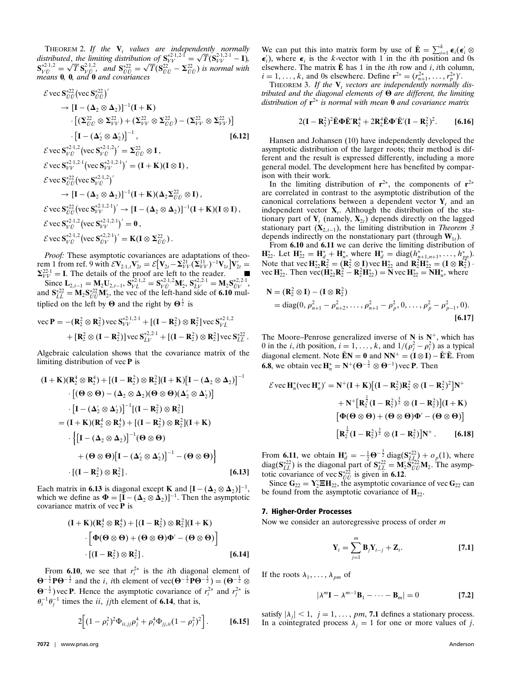THEOREM 2. If the  $V_t$  values are independently normally distributed, the limiting distribution of  $S_{VV}^{*2 \cdot 1,2 \cdot 1} = \sqrt{T}(S_{VV}^{2 \cdot 1,2 \cdot 1} - I)$ ,  $S_{V\bar{U}}^{*2\cdot1,2} = \sqrt{T} S_{V\bar{U}}^{2\cdot1,2}$ , and  $S_{\bar{U}\bar{U}}^{*22} = \sqrt{T} (S_{\bar{U}\bar{U}}^{22} - \Sigma_{\bar{U}\bar{U}}^{22})$  is normal with means **0**, **0**, and **0** and covariances

$$
\mathcal{E} \text{vec } S_{\bar{U}\bar{U}}^{*22} (\text{vec } S_{\bar{U}\bar{U}}^{*22})'
$$
\n
$$
\rightarrow [I - (\Delta_2 \otimes \Delta_2)]^{-1} (I + K)
$$
\n
$$
\cdot [(\Sigma_{\bar{U}\bar{U}}^{22} \otimes \Sigma_{\bar{V}V}^{22}) + (\Sigma_{\bar{V}V}^{22} \otimes \Sigma_{\bar{U}\bar{U}}^{22}) - (\Sigma_{\bar{V}V}^{22} \otimes \Sigma_{\bar{V}V}^{22})]
$$
\n
$$
\cdot [I - (\Delta_2' \otimes \Delta_2')]^{-1}, \qquad [6.12]
$$
\n
$$
\mathcal{E} \text{vec } S_{\bar{V}\bar{U}}^{*2-1,2} (\text{vec } S_{\bar{V}\bar{U}}^{*2-1,2})' = \Sigma_{\bar{U}\bar{U}}^{22} \otimes I,
$$
\n
$$
\mathcal{E} \text{vec } S_{\bar{V}V}^{*2-1,2-1} (\text{vec } S_{\bar{V}V}^{*2-1,2})' = (I + K)(I \otimes I),
$$
\n
$$
\mathcal{E} \text{vec } S_{\bar{U}\bar{U}}^{*2} (\text{vec } S_{\bar{V}\bar{U}}^{*2-1,2})'
$$
\n
$$
\rightarrow [I - (\Delta_2 \otimes \Delta_2)]^{-1} (I + K)(\Delta_2 \Sigma_{\bar{U}\bar{U}}^{22} \otimes I),
$$
\n
$$
\mathcal{E} \text{vec } S_{\bar{U}\bar{U}}^{*22} (\text{vec } S_{\bar{V}V}^{*2-1,2})' \rightarrow [I - (\Delta_2 \otimes \Delta_2)]^{-1} (I + K)(I \otimes I),
$$
\n
$$
\mathcal{E} \text{vec } S_{\bar{V}\bar{U}}^{*2-1,2} (\text{vec } S_{\bar{V}V}^{*2-1,2-1})' = 0,
$$
\n
$$
\mathcal{E} \text{vec } S_{\bar{V}\bar{U}}^{*2-1,2} (\text{vec } S_{\bar{U}V}^{*2,2-1})' = K(I \otimes \Sigma_{\bar{U}\bar{U}}^{22}).
$$

Proof: These asymptotic covariances are adaptations of theorem 1 from ref. 9 with  $\mathcal{E} \mathbf{V}_{2,1,t} \mathbf{V}_{2t} = \mathcal{E} [\mathbf{V}_{2t} - \mathbf{\Sigma}_{VV}^{21} (\mathbf{\Sigma}_{VV}^{11})^{-1} \mathbf{V}_{1t}] \mathbf{V}_{2t}$ rem 1 from ref. 9 with  $\mathcal{E}V_{21,t}V_{2t} = \mathcal{E}[V_{2t} - 2\tilde{\nu}_V(2\tilde{\nu}_V) \cdot V_{1t}]V_{2t} =$ <br> $\Sigma_{V}^{22.1} =$  I. The details of the proof are left to the reader. Since  $\mathbf{L}_{2,t-1} = \mathbf{M}_2 \mathbf{U}_{2,t-1}, \ \mathbf{S}_{VL}^{\ast 2 \cdot 1,2} = \mathbf{S}_{VL}^{\ast 2 \cdot 1,2} \mathbf{M}'_2, \ \mathbf{S}_{LV}^{\ast 2,2 \cdot 1} = \mathbf{M}_2 \mathbf{S}_{UV}^{\ast 2,2 \cdot 1},$ and  $S_{\bar{L}\bar{L}}^{*22} = M_2 S_{\bar{U}\bar{U}}^{*22} M_2'$ , the vec of the left-hand side of 6.10 multiplied on the left by  $\Theta$  and the right by  $\Theta^{\frac{1}{2}}$  is

vec **P** = -(
$$
\mathbf{R}_2^2 \otimes \mathbf{R}_2^2
$$
) vec  $\mathbf{S}_{VV}^{*2 \cdot 1,2 \cdot 1}$  + [(**I** –  $\mathbf{R}_2^2$ )  $\otimes \mathbf{R}_2^2$ ] vec  $\mathbf{S}_{VL}^{*2 \cdot 1,2}$   
+ [ $\mathbf{R}_2^2 \otimes (\mathbf{I} - \mathbf{R}_2^2)$ ] vec  $\mathbf{S}_{LV}^{*2,2 \cdot 1}$  + [(**I** –  $\mathbf{R}_2^2$ )  $\otimes \mathbf{R}_2^2$ ] vec  $\mathbf{S}_{LL}^{*22}$ .

Algebraic calculation shows that the covariance matrix of the limiting distribution of vec P is

$$
(\mathbf{I} + \mathbf{K})(\mathbf{R}_{2}^{4} \otimes \mathbf{R}_{2}^{4}) + [(\mathbf{I} - \mathbf{R}_{2}^{2}) \otimes \mathbf{R}_{2}^{2}](\mathbf{I} + \mathbf{K})[\mathbf{I} - (\mathbf{\Delta}_{2} \otimes \mathbf{\Delta}_{2})]^{-1}
$$
  
\n
$$
\cdot [(\mathbf{\Theta} \otimes \mathbf{\Theta}) - (\mathbf{\Delta}_{2} \otimes \mathbf{\Delta}_{2})(\mathbf{\Theta} \otimes \mathbf{\Theta})(\mathbf{\Delta}_{2}^{\prime} \otimes \mathbf{\Delta}_{2}^{\prime})]
$$
  
\n
$$
\cdot [\mathbf{I} - (\mathbf{\Delta}_{2}^{\prime} \otimes \mathbf{\Delta}_{2}^{\prime})]^{-1}[(\mathbf{I} - \mathbf{R}_{2}^{2}) \otimes \mathbf{R}_{2}^{2}]
$$
  
\n
$$
= (\mathbf{I} + \mathbf{K})(\mathbf{R}_{2}^{4} \otimes \mathbf{R}_{2}^{4}) + [(\mathbf{I} - \mathbf{R}_{2}^{2}) \otimes \mathbf{R}_{2}^{2}](\mathbf{I} + \mathbf{K})
$$
  
\n
$$
\cdot \{[\mathbf{I} - (\mathbf{\Delta}_{2} \otimes \mathbf{\Delta}_{2})]^{-1}(\mathbf{\Theta} \otimes \mathbf{\Theta})
$$
  
\n
$$
+ (\mathbf{\Theta} \otimes \mathbf{\Theta})[\mathbf{I} - (\mathbf{\Delta}_{2}^{\prime} \otimes \mathbf{\Delta}_{2}^{\prime})]^{-1} - (\mathbf{\Theta} \otimes \mathbf{\Theta}) \}
$$
  
\n
$$
\cdot [(\mathbf{I} - \mathbf{R}_{2}^{2}) \otimes \mathbf{R}_{2}^{2}].
$$
  
\n[6.13]

Each matrix in 6.13 is diagonal except K and  $[I - (\Delta_2 \otimes \Delta_2)]^{-1}$ , which we define as  $\Phi = [\mathbf{I} - (\mathbf{\Delta}_2 \otimes \mathbf{\Delta}_2)]^{-1}$ . Then the asymptotic covariance matrix of vec P is

$$
(\mathbf{I} + \mathbf{K})(\mathbf{R}_{2}^{4} \otimes \mathbf{R}_{2}^{4}) + [(\mathbf{I} - \mathbf{R}_{2}^{2}) \otimes \mathbf{R}_{2}^{2}](\mathbf{I} + \mathbf{K})
$$

$$
\cdot \left[ \Phi(\Theta \otimes \Theta) + (\Theta \otimes \Theta) \Phi' - (\Theta \otimes \Theta) \right]
$$

$$
\cdot [(\mathbf{I} - \mathbf{R}_{2}^{2}) \otimes \mathbf{R}_{2}^{2}].
$$
 [6.14]

From **6.10**, we see that  $r_i^{2*}$  is the *i*th diagonal element of  $\mathbf{\Theta}^{-\frac{1}{2}} \mathbf{P} \mathbf{\Theta}^{-\frac{1}{2}}$  and the *i*, *i*th element of vec $(\mathbf{\Theta}^{-\frac{1}{2}} \mathbf{P} \mathbf{\Theta}^{-\frac{1}{2}}) = (\mathbf{\Theta}^{-\frac{1}{2}} \otimes$  $\Theta^{-\frac{1}{2}}$ ) vec **P**. Hence the asymptotic covariance of  $r_i^{2*}$  and  $r_j^{2*}$  is  $\theta_i^{-1} \theta_j^{-1}$  times the *ii*, *jj*th element of **6.14**, that is,

$$
2\Big[(1-\rho_i^2)^2\Phi_{ii,jj}\rho_j^4+\rho_i^4\Phi_{jj,ii}(1-\rho_j^2)^2\Big].
$$
 [6.15]

We can put this into matrix form by use of  $\mathbf{\tilde{E}} = \sum_{i=1}^{k} \epsilon_i (\epsilon_i' \otimes \mathbf{E})$  $\epsilon_i$ ), where  $\epsilon_i$  is the k-vector with 1 in the *i*th position and 0s elsewhere. The matrix  $\tilde{E}$  has 1 in the *i*th row and *i*, *i*th column,  $i = 1, ..., k$ , and 0s elsewhere. Define  $\mathbf{r}^{2*} = (r_{n+1}^{2*}, ..., r_{p,n}^{2*})'$ .

THEOREM 3. If the  $V_t$  vectors are independently normally distributed and the diagonal elements of  $\Theta$  are different, the limiting distribution of  $\mathbf{r}^{2*}$  is normal with mean 0 and covariance matrix

$$
2(\mathbf{I}-\mathbf{R}_2^2)^2\tilde{\mathbf{E}}\mathbf{\Phi}\tilde{\mathbf{E}}'\mathbf{R}_2^4+2\mathbf{R}_2^4\tilde{\mathbf{E}}\mathbf{\Phi}'\tilde{\mathbf{E}}'(\mathbf{I}-\mathbf{R}_2^2)^2.
$$
 [6.16]

Hansen and Johansen (10) have independently developed the asymptotic distribution of the larger roots; their method is different and the result is expressed differently, including a more general model. The development here has benefited by comparison with their work.

In the limiting distribution of  $r^{2*}$ , the components of  $r^{2*}$ are correlated in contrast to the asymptotic distribution of the canonical correlations between a dependent vector  $Y_t$ , and an independent vector  $X_t$ . Although the distribution of the stationary part of  $Y_t$  (namely,  $X_{2t}$ ) depends directly on the lagged stationary part  $(X_{2,t-1})$ , the limiting distribution in Theorem 3 depends indirectly on the nonstationary part (through  $W_{1t}$ ).

From 6.10 and 6.11 we can derive the limiting distribution of  $\mathbf{H}_{22}^*$ . Let  $\mathbf{H}_{22}^* = \mathbf{H}_d^* + \mathbf{H}_n^*$ , where  $\mathbf{H}_d^* = \text{diag}(h_{n+1,n+1}^*, \dots, h_{pp}^*)$ . Note that vec  $\mathbf{H}_{22}^* \mathbf{R}_2^2 = (\mathbf{R}_2^2 \otimes \mathbf{I})$  vec  $\mathbf{H}_{22}^*$  and  $\mathbf{R}_2^2 \mathbf{H}_{22}^* = (\mathbf{I} \otimes \mathbf{R}_2^2) \cdot$ <br>vec  $\mathbf{H}_{22}^*$ . Then vec( $\mathbf{H}_{22}^* \mathbf{R}_2^2 - \mathbf{R}_2^2 \mathbf{H}_{22}^*$ ) = N vec  $\mathbf{H}_{22}^* = \mathbf{$ 

$$
\mathbf{N} = (\mathbf{R}_2^2 \otimes \mathbf{I}) - (\mathbf{I} \otimes \mathbf{R}_2^2)
$$
  
= diag(0,  $\rho_{n+1}^2 - \rho_{n+2}^2$ , ...,  $\rho_{n+1}^2 - \rho_p^2$ , 0, ...,  $\rho_p^2 - \rho_{p-1}^2$ , 0). [6.17]

The Moore–Penrose generalized inverse of  $N$  is  $N^{+}$ , which has 0 in the *i*, *i*th position,  $i = 1, \ldots, k$ , and  $1/(\rho_j^2 - \rho_i^2)$  as a typical diagonal element. Note  $EN = 0$  and  $NN^+ = (I \otimes I) - E'E$ . From **6.8**, we obtain vec  $\mathbf{H}_n^* = \mathbf{N}^+(\mathbf{\Theta}^{-\frac{1}{2}} \otimes \mathbf{\Theta}^{-1})$  vec **P**. Then

$$
\mathcal{E} \text{vec } \mathbf{H}_{n}^{*}(\text{vec } \mathbf{H}_{n}^{*})' = \mathbf{N}^{+}(\mathbf{I} + \mathbf{K})[(\mathbf{I} - \mathbf{R}_{2}^{2})\mathbf{R}_{2}^{2} \otimes (\mathbf{I} - \mathbf{R}_{2}^{2})^{2}] \mathbf{N}^{+} + \mathbf{N}^{+}[\mathbf{R}_{2}^{\frac{1}{2}}(\mathbf{I} - \mathbf{R}_{2}^{2})^{\frac{3}{2}} \otimes (\mathbf{I} - \mathbf{R}_{2}^{2})](\mathbf{I} + \mathbf{K}) [\Phi(\Theta \otimes \Theta) + (\Theta \otimes \Theta)\Phi' - (\Theta \otimes \Theta)] [\mathbf{R}_{2}^{\frac{1}{2}}(\mathbf{I} - \mathbf{R}_{2}^{2})^{\frac{3}{2}} \otimes (\mathbf{I} - \mathbf{R}_{2}^{2})] \mathbf{N}^{+}.
$$
 [6.18]

From **6.11**, we obtain  $\mathbf{H}_{d}^{*} = -\frac{1}{2} \mathbf{\Theta}^{-\frac{3}{2}} \text{diag}(\mathbf{S}_{\bar{L}\bar{L}_{2}}^{*22}) + o_{p}(1)$ , where diag( $S_{\bar{L}\bar{L}}^{*22}$ ) is the diagonal part of  $S_{\bar{L}\bar{L}}^{*22} = M_2'S_{\bar{U}\bar{U}}^{*22}M_2$ . The asymptotic covariance of vec  $S_{\bar{U}\bar{U}}^{*22}$  is given in 6.12.

Since  $G_{22} = Y_2' H_{22}$ , the asymptotic covariance of vec  $G_{22}$  can be found from the asymptotic covariance of  $H_{22}$ .

### 7. Higher-Order Processes

Now we consider an autoregressive process of order m

$$
\mathbf{Y}_{t} = \sum_{j=1}^{m} \mathbf{B}_{j} \mathbf{Y}_{t-j} + \mathbf{Z}_{t}.
$$

If the roots  $\lambda_1,\ldots,\lambda_{pm}$  of

$$
|\lambda^m \mathbf{I} - \lambda^{m-1} \mathbf{B}_1 - \dots - \mathbf{B}_m| = 0
$$
 [7.2]

satisfy  $|\lambda_i| < 1$ ,  $j = 1, ..., pm, 7.1$  defines a stationary process. In a cointegrated process  $\lambda_i = 1$  for one or more values of j.